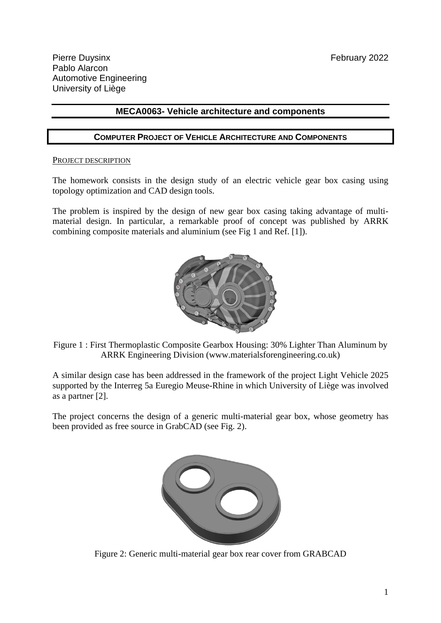# **MECA0063- Vehicle architecture and components**

### **COMPUTER PROJECT OF VEHICLE ARCHITECTURE AND COMPONENTS**

#### PROJECT DESCRIPTION

The homework consists in the design study of an electric vehicle gear box casing using topology optimization and CAD design tools.

The problem is inspired by the design of new gear box casing taking advantage of multimaterial design. In particular, a remarkable proof of concept was published by ARRK combining composite materials and aluminium (see Fig 1 and Ref. [1]).



Figure 1 : First Thermoplastic Composite Gearbox Housing: 30% Lighter Than Aluminum by ARRK Engineering Division (www.materialsforengineering.co.uk)

A similar design case has been addressed in the framework of the project Light Vehicle 2025 supported by the Interreg 5a Euregio Meuse-Rhine in which University of Liège was involved as a partner [2].

The project concerns the design of a generic multi-material gear box, whose geometry has been provided as free source in GrabCAD (see Fig. 2).



Figure 2: Generic multi-material gear box rear cover from GRABCAD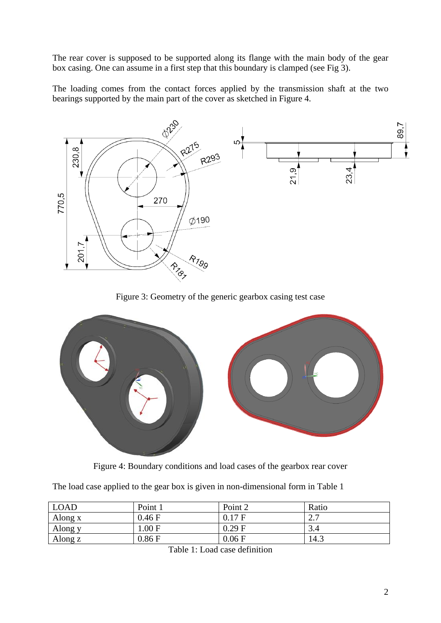The rear cover is supposed to be supported along its flange with the main body of the gear box casing. One can assume in a first step that this boundary is clamped (see Fig 3).

The loading comes from the contact forces applied by the transmission shaft at the two bearings supported by the main part of the cover as sketched in Figure 4.



Figure 3: Geometry of the generic gearbox casing test case



Figure 4: Boundary conditions and load cases of the gearbox rear cover

The load case applied to the gear box is given in non-dimensional form in Table 1

| <b>LOAD</b> | Point 1 | Point 2 | Ratio           |
|-------------|---------|---------|-----------------|
| Along x     | 0.46 F  | 0.17 F  | $\Omega$<br>، ، |
| Along y     | 1.00 F  | 0.29 F  | 3.4             |
| Along z     | 0.86 F  | 0.06 F  | 14.3            |

Table 1: Load case definition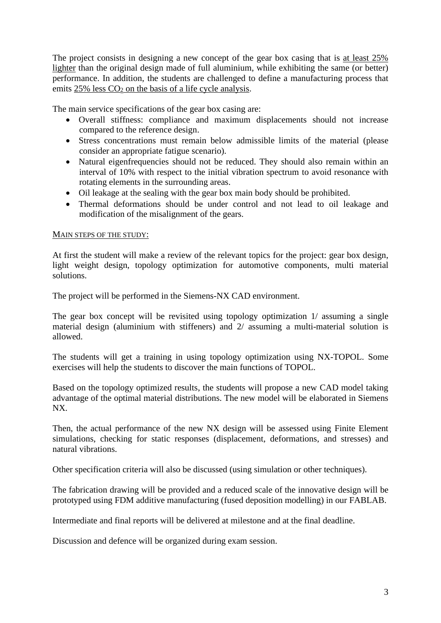The project consists in designing a new concept of the gear box casing that is at least 25% lighter than the original design made of full aluminium, while exhibiting the same (or better) performance. In addition, the students are challenged to define a manufacturing process that emits  $25\%$  less  $CO<sub>2</sub>$  on the basis of a life cycle analysis.

The main service specifications of the gear box casing are:

- Overall stiffness: compliance and maximum displacements should not increase compared to the reference design.
- Stress concentrations must remain below admissible limits of the material (please consider an appropriate fatigue scenario).
- Natural eigenfrequencies should not be reduced. They should also remain within an interval of 10% with respect to the initial vibration spectrum to avoid resonance with rotating elements in the surrounding areas.
- Oil leakage at the sealing with the gear box main body should be prohibited.
- Thermal deformations should be under control and not lead to oil leakage and modification of the misalignment of the gears.

#### MAIN STEPS OF THE STUDY:

At first the student will make a review of the relevant topics for the project: gear box design, light weight design, topology optimization for automotive components, multi material solutions.

The project will be performed in the Siemens-NX CAD environment.

The gear box concept will be revisited using topology optimization 1/ assuming a single material design (aluminium with stiffeners) and 2/ assuming a multi-material solution is allowed.

The students will get a training in using topology optimization using NX-TOPOL. Some exercises will help the students to discover the main functions of TOPOL.

Based on the topology optimized results, the students will propose a new CAD model taking advantage of the optimal material distributions. The new model will be elaborated in Siemens NX.

Then, the actual performance of the new NX design will be assessed using Finite Element simulations, checking for static responses (displacement, deformations, and stresses) and natural vibrations.

Other specification criteria will also be discussed (using simulation or other techniques).

The fabrication drawing will be provided and a reduced scale of the innovative design will be prototyped using FDM additive manufacturing (fused deposition modelling) in our FABLAB.

Intermediate and final reports will be delivered at milestone and at the final deadline.

Discussion and defence will be organized during exam session.